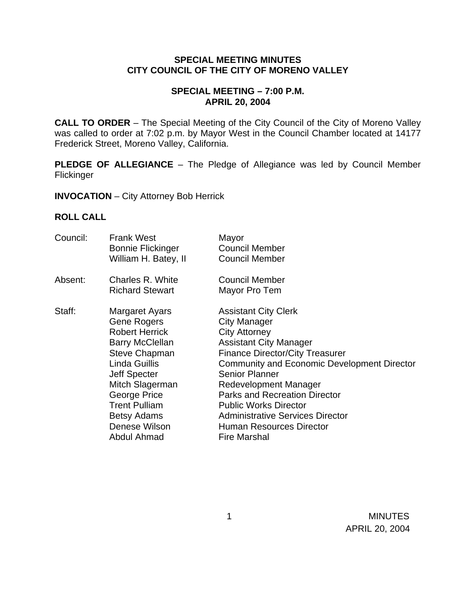#### **SPECIAL MEETING MINUTES CITY COUNCIL OF THE CITY OF MORENO VALLEY**

### **SPECIAL MEETING – 7:00 P.M. APRIL 20, 2004**

**CALL TO ORDER** – The Special Meeting of the City Council of the City of Moreno Valley was called to order at 7:02 p.m. by Mayor West in the Council Chamber located at 14177 Frederick Street, Moreno Valley, California.

**PLEDGE OF ALLEGIANCE** – The Pledge of Allegiance was led by Council Member Flickinger

**INVOCATION** – City Attorney Bob Herrick

#### **ROLL CALL**

| Council: | <b>Frank West</b><br><b>Bonnie Flickinger</b><br>William H. Batey, II                                                                                                                                                                                                    | Mayor<br><b>Council Member</b><br><b>Council Member</b>                                                                                                                                                                                                                                                                                                                                                                                    |
|----------|--------------------------------------------------------------------------------------------------------------------------------------------------------------------------------------------------------------------------------------------------------------------------|--------------------------------------------------------------------------------------------------------------------------------------------------------------------------------------------------------------------------------------------------------------------------------------------------------------------------------------------------------------------------------------------------------------------------------------------|
| Absent:  | Charles R. White<br><b>Richard Stewart</b>                                                                                                                                                                                                                               | <b>Council Member</b><br>Mayor Pro Tem                                                                                                                                                                                                                                                                                                                                                                                                     |
| Staff:   | Margaret Ayars<br><b>Gene Rogers</b><br><b>Robert Herrick</b><br><b>Barry McClellan</b><br><b>Steve Chapman</b><br>Linda Guillis<br><b>Jeff Specter</b><br>Mitch Slagerman<br>George Price<br><b>Trent Pulliam</b><br><b>Betsy Adams</b><br>Denese Wilson<br>Abdul Ahmad | <b>Assistant City Clerk</b><br><b>City Manager</b><br><b>City Attorney</b><br><b>Assistant City Manager</b><br><b>Finance Director/City Treasurer</b><br><b>Community and Economic Development Director</b><br><b>Senior Planner</b><br>Redevelopment Manager<br><b>Parks and Recreation Director</b><br><b>Public Works Director</b><br><b>Administrative Services Director</b><br><b>Human Resources Director</b><br><b>Fire Marshal</b> |